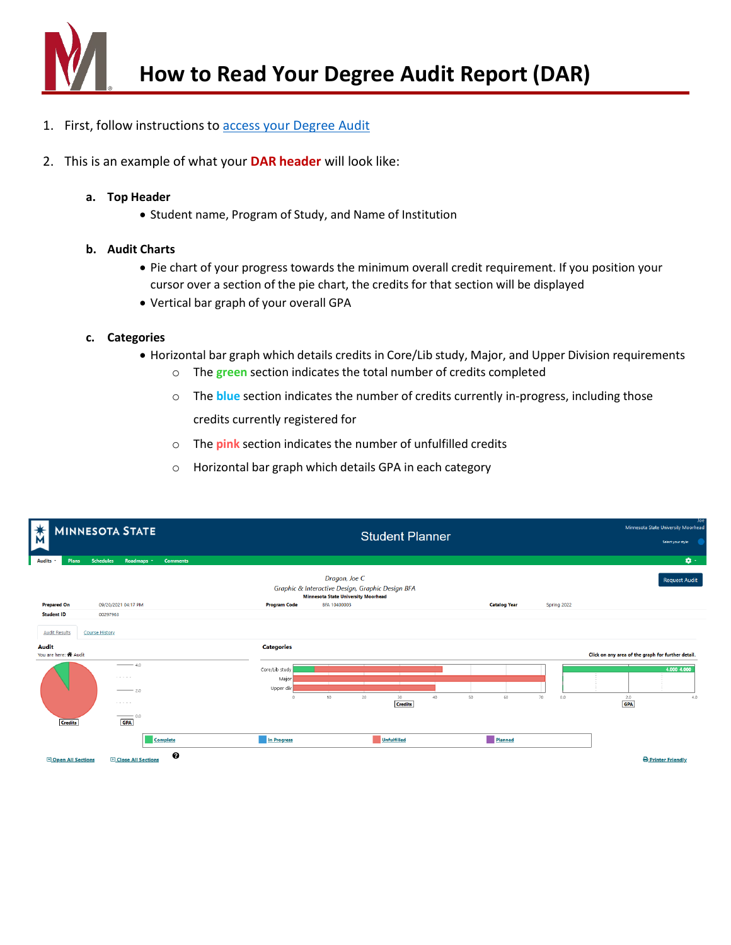

- 1. First, follow instructions to [access](https://minnstate.edu/admissions/docs/SelfServiceStudentsRunAudit.pdf) your Degree Audit
- 2. This is an example of what your **DAR header** will look like:
	- **a. Top Header**
		- Student name, Program of Study, and Name of Institution
	- **b. Audit Charts**
		- Pie chart of your progress towards the minimum overall credit requirement. If you position your cursor over a section of the pie chart, the credits for that section will be displayed
		- Vertical bar graph of your overall GPA
	- **c. Categories**
		- Horizontal bar graph which details credits in Core/Lib study, Major, and Upper Division requirements
			- o The **green** section indicates the total number of credits completed
			- o The **blue** section indicates the number of credits currently in-progress, including those credits currently registered for
			- o The **pink** section indicates the number of unfulfilled credits
			- o Horizontal bar graph which details GPA in each category

| 萧                                                | <b>MINNESOTA STATE</b>                          |                                      | <b>Student Planner</b>                                                                                          |                     |             | Joe<br>Minnesota State University Moorhead<br>Select your style: |
|--------------------------------------------------|-------------------------------------------------|--------------------------------------|-----------------------------------------------------------------------------------------------------------------|---------------------|-------------|------------------------------------------------------------------|
| <b>Audits</b><br>Plans                           | <b>Schedules</b><br>Roadmaps<br><b>Comments</b> |                                      |                                                                                                                 |                     |             | $\bullet$ -                                                      |
|                                                  |                                                 |                                      | Dragon, Joe C<br>Graphic & Interactive Design, Graphic Design BFA<br><b>Minnesota State University Moorhead</b> |                     |             | <b>Request Audit</b>                                             |
| <b>Prepared On</b>                               | 09/20/2021 04:17 PM                             | <b>Program Code</b>                  | BFA 10400003                                                                                                    | <b>Catalog Year</b> | Spring 2022 |                                                                  |
| <b>Student ID</b>                                | 00297963                                        |                                      |                                                                                                                 |                     |             |                                                                  |
| <b>Audit Results</b>                             | <b>Course History</b>                           |                                      |                                                                                                                 |                     |             |                                                                  |
| <b>Audit</b><br>You are here: <sup>2</sup> Audit |                                                 | <b>Categories</b>                    |                                                                                                                 |                     |             | Click on any area of the graph for further detail.               |
|                                                  | $\longrightarrow$ 4.0<br>.<br>$-2.0$            | Core/Lib study<br>Major<br>Upper div |                                                                                                                 |                     |             | 4.000 4.000                                                      |
| <b>Credits</b>                                   | .<br>$\sim$ 0.0<br><b>GPA</b>                   | $\Omega$                             | 10<br>20<br>30<br><b>Credits</b>                                                                                | 50<br>40<br>60      | 70<br>0.0   | 4,0<br>2.0<br>GPA                                                |
|                                                  | Complete                                        | <b>In Progress</b>                   | Unfulfilled                                                                                                     | Planned             |             |                                                                  |
| Open All Sections                                | ℯ<br><b>D</b> Close All Sections                |                                      |                                                                                                                 |                     |             | Printer Friendly                                                 |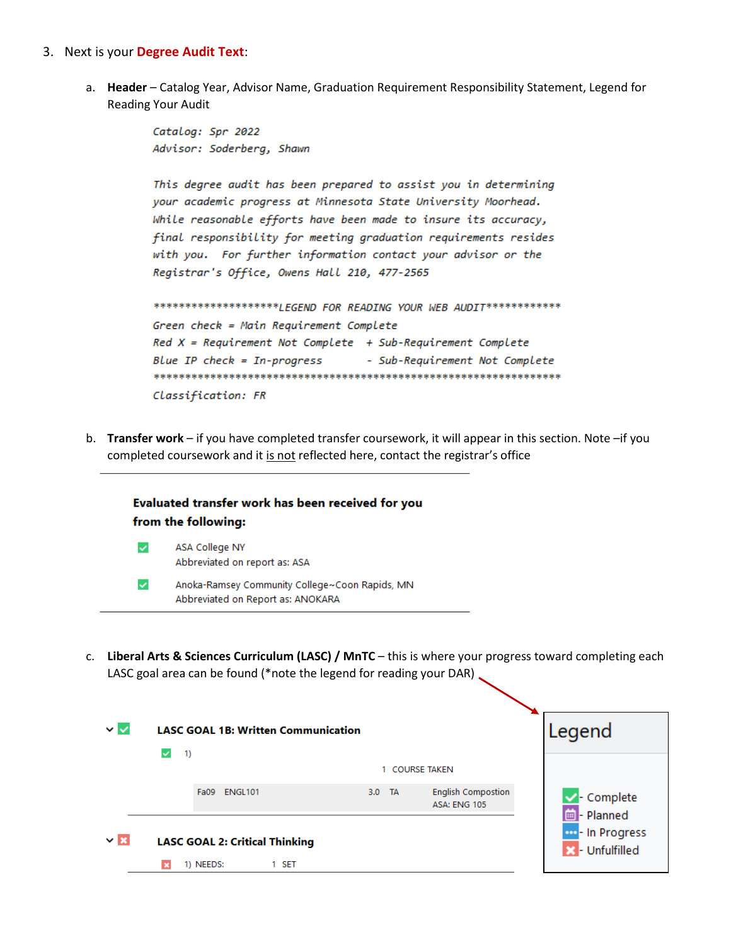## 3. Next is your **Degree Audit Text**:

a. **Header** – Catalog Year, Advisor Name, Graduation Requirement Responsibility Statement, Legend for Reading Your Audit

> Catalog: Spr 2022 Advisor: Soderberg, Shawn

This degree audit has been prepared to assist you in determining your academic progress at Minnesota State University Moorhead. While reasonable efforts have been made to insure its accuracy, final responsibility for meeting graduation requirements resides with you. For further information contact your advisor or the Registrar's Office, Owens Hall 210, 477-2565

\*\*\*\*\*\*\*\*\*\*\*\*\*\*\*\*\*\*\*\*LEGEND FOR READING YOUR WEB AUDIT\*\*\*\*\*\*\*\*\*\*\*\* Green check = Main Requirement Complete Red X = Requirement Not Complete + Sub-Requirement Complete Blue IP check = In-progress - Sub-Requirement Not Complete Classification: FR

b. **Transfer work** – if you have completed transfer coursework, it will appear in this section. Note –if you completed coursework and it is not reflected here, contact the registrar's office



c. **Liberal Arts & Sciences Curriculum (LASC) / MnTC** – this is where your progress toward completing each LASC goal area can be found (\*note the legend for reading your DAR).

| MM                  | <b>LASC GOAL 1B: Written Communication</b>   |                                                    |       |                  | Legend              |                                                  |                                              |
|---------------------|----------------------------------------------|----------------------------------------------------|-------|------------------|---------------------|--------------------------------------------------|----------------------------------------------|
|                     | $\left( \frac{1}{2} \right)$<br>$\checkmark$ |                                                    |       |                  | <b>COURSE TAKEN</b> |                                                  |                                              |
|                     |                                              | ENGL101<br>Fa09                                    |       | 3.0 <sub>1</sub> | TA                  | <b>English Compostion</b><br><b>ASA: ENG 105</b> | $\sqrt{\phantom{a}}$ - Complete<br>- Planned |
| $\vee$ $\mathbf{z}$ | $\boldsymbol{\mathsf{x}}$                    | <b>LASC GOAL 2: Critical Thinking</b><br>1) NEEDS: | 1 SET |                  |                     |                                                  | an-In Progress<br>- Unfulfilled              |